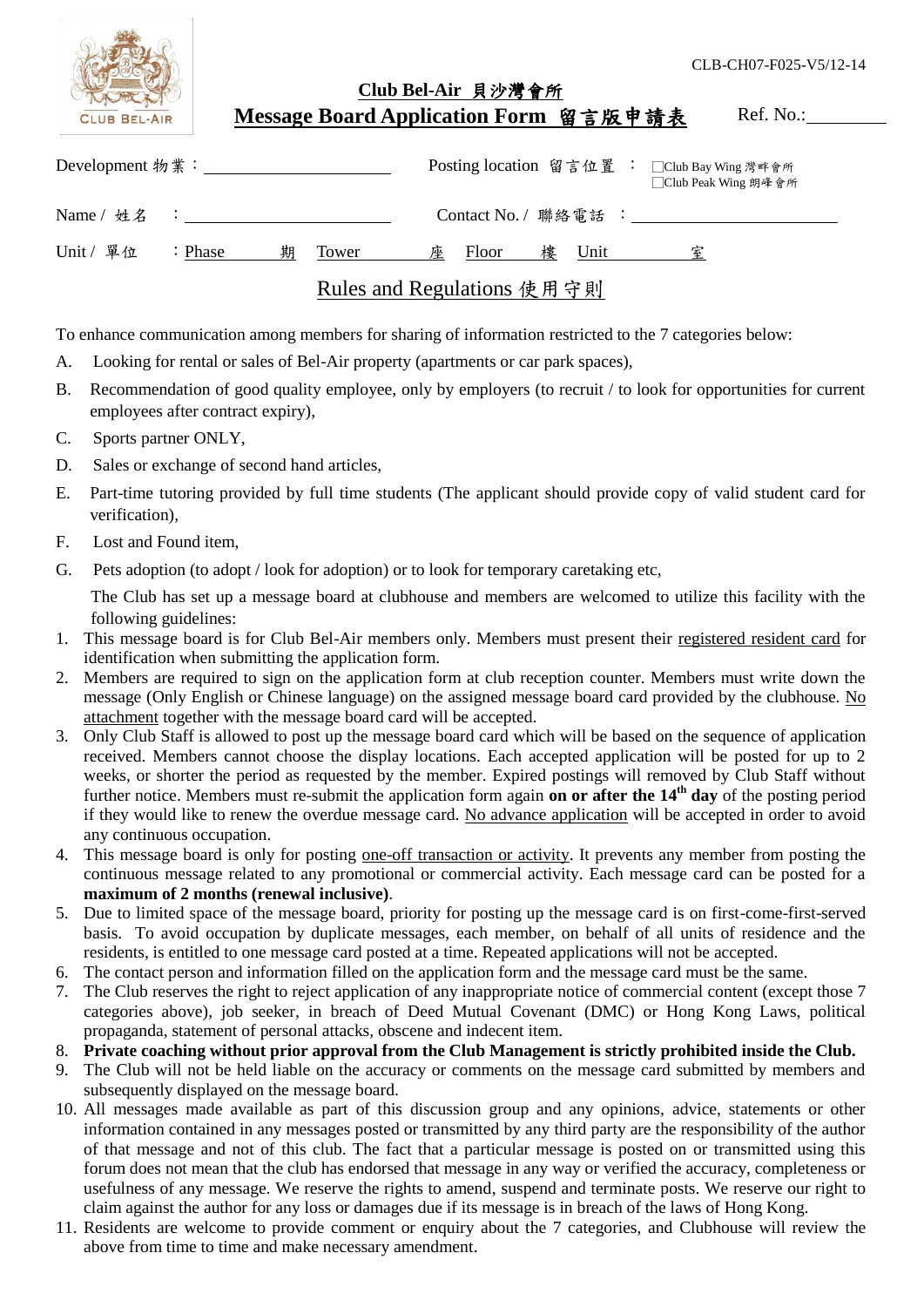| <b>CLUB BEL-AIR</b>  |                                     | Club Bel-Air 貝沙灣會所<br>Message Board Application Form 留言版申請表 | CLB-CH07-F025-V5/12-14<br>Ref. No.: |
|----------------------|-------------------------------------|-------------------------------------------------------------|-------------------------------------|
|                      |                                     | Posting location 留言位置 : □Club Bay Wing 灣畔會所                 | □ Club Peak Wing 朗峰會所               |
|                      | Name / 姓名 : _______________________ | Contact No. / 聯絡電話 :                                        |                                     |
| Unit / 單位<br>: Phase | 期<br>Tower                          | Floor<br>Unit<br>承<br>樓                                     |                                     |
|                      |                                     | Rules and Regulations 使用守則                                  |                                     |

To enhance communication among members for sharing of information restricted to the 7 categories below:

- A. Looking for rental or sales of Bel-Air property (apartments or car park spaces),
- B. Recommendation of good quality employee, only by employers (to recruit / to look for opportunities for current employees after contract expiry),
- C. Sports partner ONLY,
- D. Sales or exchange of second hand articles,
- E. Part-time tutoring provided by full time students (The applicant should provide copy of valid student card for verification),
- F. Lost and Found item,
- G. Pets adoption (to adopt / look for adoption) or to look for temporary caretaking etc,

The Club has set up a message board at clubhouse and members are welcomed to utilize this facility with the following guidelines:

- 1. This message board is for Club Bel-Air members only. Members must present their registered resident card for identification when submitting the application form.
- 2. Members are required to sign on the application form at club reception counter. Members must write down the message (Only English or Chinese language) on the assigned message board card provided by the clubhouse. No attachment together with the message board card will be accepted.
- 3. Only Club Staff is allowed to post up the message board card which will be based on the sequence of application received. Members cannot choose the display locations. Each accepted application will be posted for up to 2 weeks, or shorter the period as requested by the member. Expired postings will removed by Club Staff without further notice. Members must re-submit the application form again **on or after the 14th day** of the posting period if they would like to renew the overdue message card. No advance application will be accepted in order to avoid any continuous occupation.
- 4. This message board is only for posting one-off transaction or activity. It prevents any member from posting the continuous message related to any promotional or commercial activity. Each message card can be posted for a **maximum of 2 months (renewal inclusive)**.
- 5. Due to limited space of the message board, priority for posting up the message card is on first-come-first-served basis. To avoid occupation by duplicate messages, each member, on behalf of all units of residence and the residents, is entitled to one message card posted at a time. Repeated applications will not be accepted.
- 6. The contact person and information filled on the application form and the message card must be the same.
- 7. The Club reserves the right to reject application of any inappropriate notice of commercial content (except those 7 categories above), job seeker, in breach of Deed Mutual Covenant (DMC) or Hong Kong Laws, political propaganda, statement of personal attacks, obscene and indecent item.
- 8. **Private coaching without prior approval from the Club Management is strictly prohibited inside the Club.**
- 9. The Club will not be held liable on the accuracy or comments on the message card submitted by members and subsequently displayed on the message board.
- 10. All messages made available as part of this discussion group and any opinions, advice, statements or other information contained in any messages posted or transmitted by any third party are the responsibility of the author of that message and not of this club. The fact that a particular message is posted on or transmitted using this forum does not mean that the club has endorsed that message in any way or verified the accuracy, completeness or usefulness of any message. We reserve the rights to amend, suspend and terminate posts. We reserve our right to claim against the author for any loss or damages due if its message is in breach of the laws of Hong Kong.
- 11. Residents are welcome to provide comment or enquiry about the 7 categories, and Clubhouse will review the above from time to time and make necessary amendment.